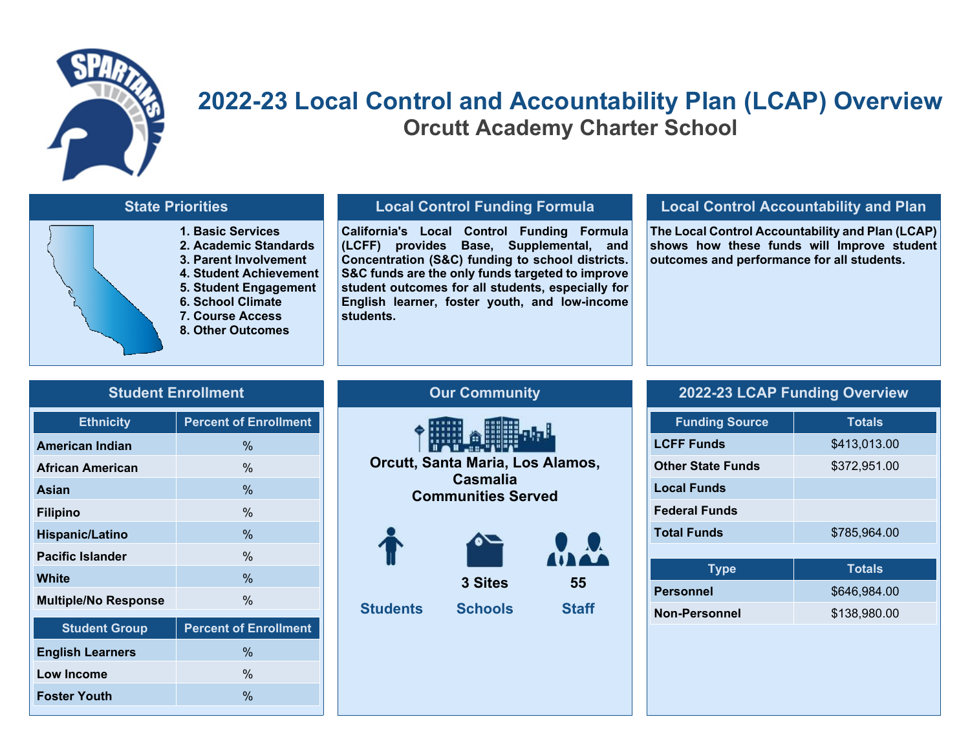

## **2022-23 Local Control and Accountability Plan (LCAP) Overview Orcutt Academy Charter School**

### **State Priorities**

**1. Basic Services 2. Academic Standards 3. Parent Involvement 4. Student Achievement 5. Student Engagement 6. School Climate 7. Course Access 8. Other Outcomes**

### **Local Control Funding Formula**

**California's Local Control Funding Formula (LCFF) provides Base, Supplemental, and Concentration (S&C) funding to school districts. S&C funds are the only funds targeted to improve student outcomes for all students, especially for English learner, foster youth, and low-income students.**

#### **Local Control Accountability and Plan**

**The Local Control Accountability and Plan (LCAP) shows how these funds will Improve student outcomes and performance for all students.**

| <b>Student Enrollment</b> |
|---------------------------|
|                           |
|                           |

| <b>Percent of Enrollment</b> |
|------------------------------|
| $\frac{0}{0}$                |
| $\frac{0}{6}$                |
| $\frac{0}{0}$                |
| $\frac{0}{6}$                |
| $\frac{0}{0}$                |
| $\frac{0}{0}$                |
| $\frac{0}{0}$                |
| $\frac{0}{0}$                |
| <b>Percent of Enrollment</b> |
|                              |

**English Learners** % **Low Income** % **Foster Youth**  $\%$ 

# **Our Community Orcutt, Santa Maria, Los Alamos, Casmalia Communities Served**  -- -- -- -- -- --  **3 Sites 55 Students Schools Staff**

### **2022-23 LCAP Funding Overview**

| <b>Funding Source</b>    | <b>Totals</b> |
|--------------------------|---------------|
| <b>LCFF Funds</b>        | \$413,013.00  |
| <b>Other State Funds</b> | \$372,951.00  |
| <b>Local Funds</b>       |               |
| <b>Federal Funds</b>     |               |
| <b>Total Funds</b>       | \$785,964.00  |
|                          |               |
| Type                     | <b>Totals</b> |
| <b>Personnel</b>         | \$646,984.00  |
| <b>Non-Personnel</b>     | \$138,980.00  |
|                          |               |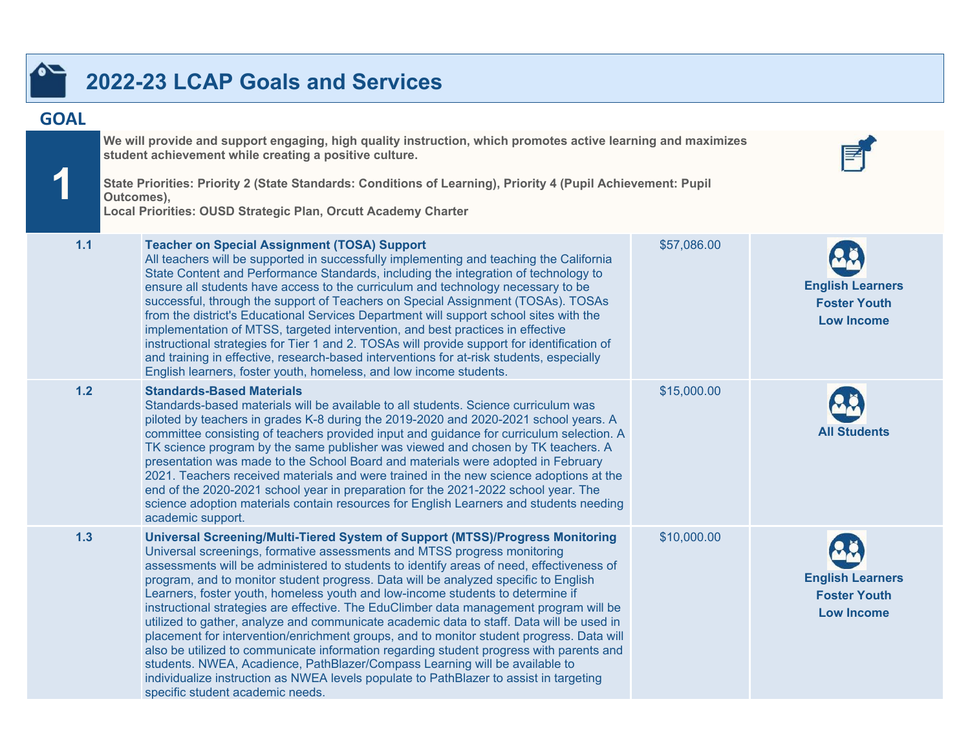## **2022-23 LCAP Goals and Services**

### **GOAL**

**1**

**We will provide and support engaging, high quality instruction, which promotes active learning and maximizes student achievement while creating a positive culture.**

**State Priorities: Priority 2 (State Standards: Conditions of Learning), Priority 4 (Pupil Achievement: Pupil Outcomes),**

**Local Priorities: OUSD Strategic Plan, Orcutt Academy Charter**

| 1.1   | <b>Teacher on Special Assignment (TOSA) Support</b><br>All teachers will be supported in successfully implementing and teaching the California<br>State Content and Performance Standards, including the integration of technology to<br>ensure all students have access to the curriculum and technology necessary to be<br>successful, through the support of Teachers on Special Assignment (TOSAs). TOSAs<br>from the district's Educational Services Department will support school sites with the<br>implementation of MTSS, targeted intervention, and best practices in effective<br>instructional strategies for Tier 1 and 2. TOSAs will provide support for identification of<br>and training in effective, research-based interventions for at-risk students, especially<br>English learners, foster youth, homeless, and low income students.                                                                                                                                                               | \$57,086.00 | <b>English Learners</b><br><b>Foster Youth</b><br><b>Low Income</b> |
|-------|--------------------------------------------------------------------------------------------------------------------------------------------------------------------------------------------------------------------------------------------------------------------------------------------------------------------------------------------------------------------------------------------------------------------------------------------------------------------------------------------------------------------------------------------------------------------------------------------------------------------------------------------------------------------------------------------------------------------------------------------------------------------------------------------------------------------------------------------------------------------------------------------------------------------------------------------------------------------------------------------------------------------------|-------------|---------------------------------------------------------------------|
| $1.2$ | <b>Standards-Based Materials</b><br>Standards-based materials will be available to all students. Science curriculum was<br>piloted by teachers in grades K-8 during the 2019-2020 and 2020-2021 school years. A<br>committee consisting of teachers provided input and guidance for curriculum selection. A<br>TK science program by the same publisher was viewed and chosen by TK teachers. A<br>presentation was made to the School Board and materials were adopted in February<br>2021. Teachers received materials and were trained in the new science adoptions at the<br>end of the 2020-2021 school year in preparation for the 2021-2022 school year. The<br>science adoption materials contain resources for English Learners and students needing<br>academic support.                                                                                                                                                                                                                                       | \$15,000.00 | <b>All Students</b>                                                 |
| 1.3   | Universal Screening/Multi-Tiered System of Support (MTSS)/Progress Monitoring<br>Universal screenings, formative assessments and MTSS progress monitoring<br>assessments will be administered to students to identify areas of need, effectiveness of<br>program, and to monitor student progress. Data will be analyzed specific to English<br>Learners, foster youth, homeless youth and low-income students to determine if<br>instructional strategies are effective. The EduClimber data management program will be<br>utilized to gather, analyze and communicate academic data to staff. Data will be used in<br>placement for intervention/enrichment groups, and to monitor student progress. Data will<br>also be utilized to communicate information regarding student progress with parents and<br>students. NWEA, Acadience, PathBlazer/Compass Learning will be available to<br>individualize instruction as NWEA levels populate to PathBlazer to assist in targeting<br>specific student academic needs. | \$10,000.00 | <b>English Learners</b><br><b>Foster Youth</b><br><b>Low Income</b> |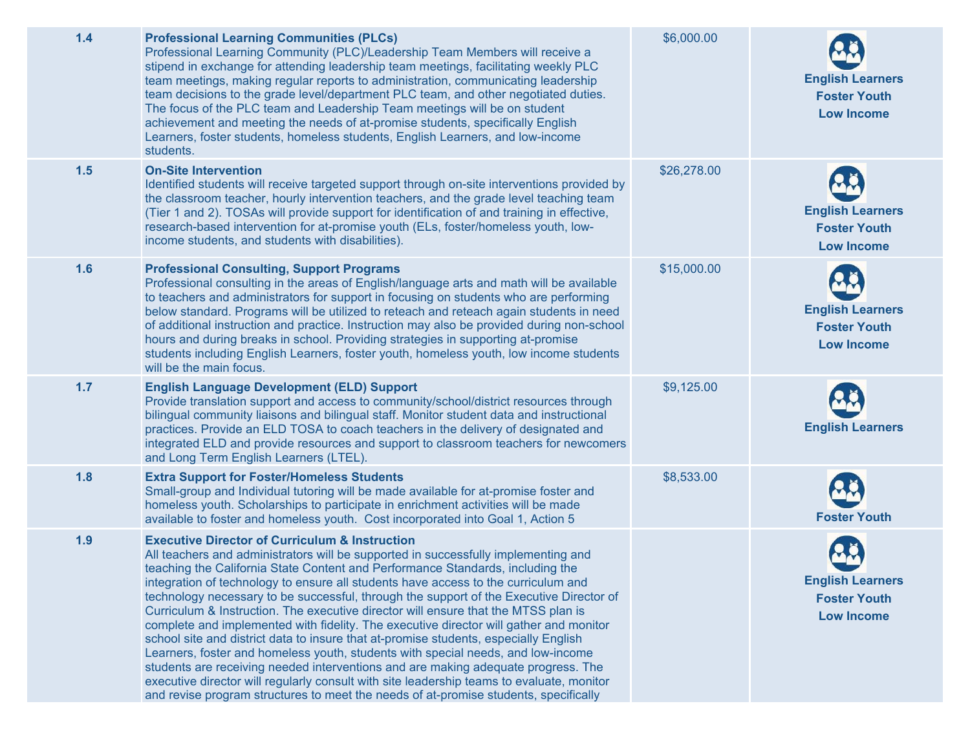| 1.4 | <b>Professional Learning Communities (PLCs)</b><br>Professional Learning Community (PLC)/Leadership Team Members will receive a<br>stipend in exchange for attending leadership team meetings, facilitating weekly PLC<br>team meetings, making regular reports to administration, communicating leadership<br>team decisions to the grade level/department PLC team, and other negotiated duties.<br>The focus of the PLC team and Leadership Team meetings will be on student<br>achievement and meeting the needs of at-promise students, specifically English<br>Learners, foster students, homeless students, English Learners, and low-income<br>students.                                                                                                                                                                                                                                                                                                                                                                                         | \$6,000.00  | <b>English Learners</b><br><b>Foster Youth</b><br><b>Low Income</b> |
|-----|----------------------------------------------------------------------------------------------------------------------------------------------------------------------------------------------------------------------------------------------------------------------------------------------------------------------------------------------------------------------------------------------------------------------------------------------------------------------------------------------------------------------------------------------------------------------------------------------------------------------------------------------------------------------------------------------------------------------------------------------------------------------------------------------------------------------------------------------------------------------------------------------------------------------------------------------------------------------------------------------------------------------------------------------------------|-------------|---------------------------------------------------------------------|
| 1.5 | <b>On-Site Intervention</b><br>Identified students will receive targeted support through on-site interventions provided by<br>the classroom teacher, hourly intervention teachers, and the grade level teaching team<br>(Tier 1 and 2). TOSAs will provide support for identification of and training in effective,<br>research-based intervention for at-promise youth (ELs, foster/homeless youth, low-<br>income students, and students with disabilities).                                                                                                                                                                                                                                                                                                                                                                                                                                                                                                                                                                                           | \$26,278.00 | <b>English Learners</b><br><b>Foster Youth</b><br><b>Low Income</b> |
| 1.6 | <b>Professional Consulting, Support Programs</b><br>Professional consulting in the areas of English/language arts and math will be available<br>to teachers and administrators for support in focusing on students who are performing<br>below standard. Programs will be utilized to reteach and reteach again students in need<br>of additional instruction and practice. Instruction may also be provided during non-school<br>hours and during breaks in school. Providing strategies in supporting at-promise<br>students including English Learners, foster youth, homeless youth, low income students<br>will be the main focus.                                                                                                                                                                                                                                                                                                                                                                                                                  | \$15,000.00 | <b>English Learners</b><br><b>Foster Youth</b><br><b>Low Income</b> |
| 1.7 | <b>English Language Development (ELD) Support</b><br>Provide translation support and access to community/school/district resources through<br>bilingual community liaisons and bilingual staff. Monitor student data and instructional<br>practices. Provide an ELD TOSA to coach teachers in the delivery of designated and<br>integrated ELD and provide resources and support to classroom teachers for newcomers<br>and Long Term English Learners (LTEL).                                                                                                                                                                                                                                                                                                                                                                                                                                                                                                                                                                                           | \$9,125.00  | <b>English Learners</b>                                             |
| 1.8 | <b>Extra Support for Foster/Homeless Students</b><br>Small-group and Individual tutoring will be made available for at-promise foster and<br>homeless youth. Scholarships to participate in enrichment activities will be made<br>available to foster and homeless youth. Cost incorporated into Goal 1, Action 5                                                                                                                                                                                                                                                                                                                                                                                                                                                                                                                                                                                                                                                                                                                                        | \$8,533.00  | <b>Foster Youth</b>                                                 |
| 1.9 | <b>Executive Director of Curriculum &amp; Instruction</b><br>All teachers and administrators will be supported in successfully implementing and<br>teaching the California State Content and Performance Standards, including the<br>integration of technology to ensure all students have access to the curriculum and<br>technology necessary to be successful, through the support of the Executive Director of<br>Curriculum & Instruction. The executive director will ensure that the MTSS plan is<br>complete and implemented with fidelity. The executive director will gather and monitor<br>school site and district data to insure that at-promise students, especially English<br>Learners, foster and homeless youth, students with special needs, and low-income<br>students are receiving needed interventions and are making adequate progress. The<br>executive director will regularly consult with site leadership teams to evaluate, monitor<br>and revise program structures to meet the needs of at-promise students, specifically |             | <b>English Learners</b><br><b>Foster Youth</b><br><b>Low Income</b> |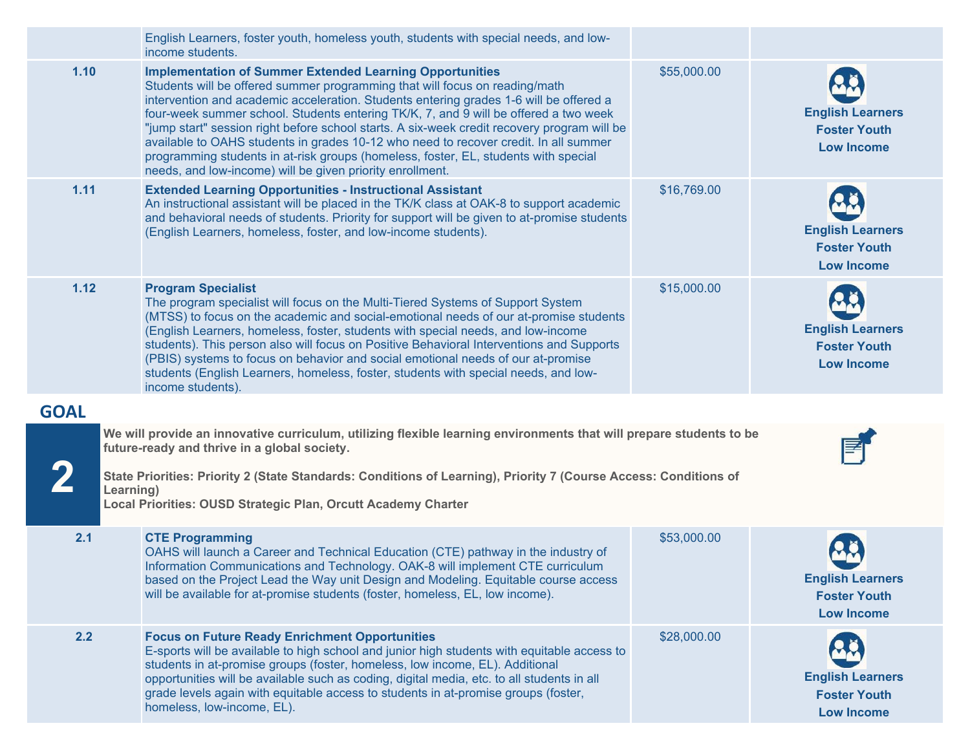|             | English Learners, foster youth, homeless youth, students with special needs, and low-<br>income students.                                                                                                                                                                                                                                                                                                                                                                                                                                                                                                                                                                   |             |                                                                     |
|-------------|-----------------------------------------------------------------------------------------------------------------------------------------------------------------------------------------------------------------------------------------------------------------------------------------------------------------------------------------------------------------------------------------------------------------------------------------------------------------------------------------------------------------------------------------------------------------------------------------------------------------------------------------------------------------------------|-------------|---------------------------------------------------------------------|
| 1.10        | <b>Implementation of Summer Extended Learning Opportunities</b><br>Students will be offered summer programming that will focus on reading/math<br>intervention and academic acceleration. Students entering grades 1-6 will be offered a<br>four-week summer school. Students entering TK/K, 7, and 9 will be offered a two week<br>"jump start" session right before school starts. A six-week credit recovery program will be<br>available to OAHS students in grades 10-12 who need to recover credit. In all summer<br>programming students in at-risk groups (homeless, foster, EL, students with special<br>needs, and low-income) will be given priority enrollment. | \$55,000.00 | <b>English Learners</b><br><b>Foster Youth</b><br><b>Low Income</b> |
| 1.11        | <b>Extended Learning Opportunities - Instructional Assistant</b><br>An instructional assistant will be placed in the TK/K class at OAK-8 to support academic<br>and behavioral needs of students. Priority for support will be given to at-promise students<br>(English Learners, homeless, foster, and low-income students).                                                                                                                                                                                                                                                                                                                                               | \$16,769.00 | <b>English Learners</b><br><b>Foster Youth</b><br><b>Low Income</b> |
| 1.12        | <b>Program Specialist</b><br>The program specialist will focus on the Multi-Tiered Systems of Support System<br>(MTSS) to focus on the academic and social-emotional needs of our at-promise students<br>(English Learners, homeless, foster, students with special needs, and low-income<br>students). This person also will focus on Positive Behavioral Interventions and Supports<br>(PBIS) systems to focus on behavior and social emotional needs of our at-promise<br>students (English Learners, homeless, foster, students with special needs, and low-<br>income students).                                                                                       | \$15,000.00 | <b>English Learners</b><br><b>Foster Youth</b><br><b>Low Income</b> |
| <b>GOAL</b> |                                                                                                                                                                                                                                                                                                                                                                                                                                                                                                                                                                                                                                                                             |             |                                                                     |
|             | We will provide an innovative curriculum, utilizing flexible learning environments that will prepare students to be<br>future-ready and thrive in a global society.<br>State Priorities: Priority 2 (State Standards: Conditions of Learning), Priority 7 (Course Access: Conditions of<br>Learning)<br>Local Priorities: OUSD Strategic Plan, Orcutt Academy Charter                                                                                                                                                                                                                                                                                                       |             |                                                                     |
|             |                                                                                                                                                                                                                                                                                                                                                                                                                                                                                                                                                                                                                                                                             |             |                                                                     |
| 2.1         | <b>CTE Programming</b><br>OAHS will launch a Career and Technical Education (CTE) pathway in the industry of<br>Information Communications and Technology. OAK-8 will implement CTE curriculum<br>based on the Project Lead the Way unit Design and Modeling. Equitable course access<br>will be available for at-promise students (foster, homeless, EL, low income).                                                                                                                                                                                                                                                                                                      | \$53,000.00 | <b>English Learners</b><br><b>Foster Youth</b><br><b>Low Income</b> |
| 2.2         | <b>Focus on Future Ready Enrichment Opportunities</b><br>E-sports will be available to high school and junior high students with equitable access to<br>students in at-promise groups (foster, homeless, low income, EL). Additional<br>opportunities will be available such as coding, digital media, etc. to all students in all<br>grade levels again with equitable access to students in at-promise groups (foster,<br>homeless, low-income, EL).                                                                                                                                                                                                                      | \$28,000.00 | <b>English Learners</b><br><b>Foster Youth</b><br><b>Low Income</b> |
|             |                                                                                                                                                                                                                                                                                                                                                                                                                                                                                                                                                                                                                                                                             |             |                                                                     |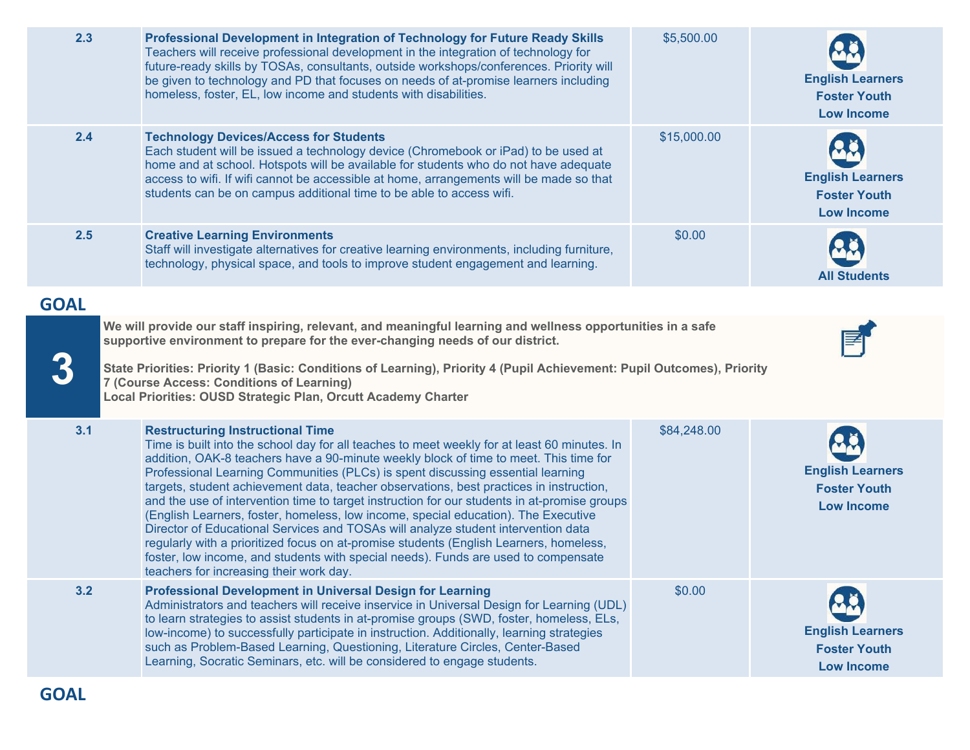| 2.3         | Professional Development in Integration of Technology for Future Ready Skills<br>Teachers will receive professional development in the integration of technology for<br>future-ready skills by TOSAs, consultants, outside workshops/conferences. Priority will<br>be given to technology and PD that focuses on needs of at-promise learners including<br>homeless, foster, EL, low income and students with disabilities.                                                                                                                                                                                                                                                                                                                                                                                                                                                                                          | \$5,500.00  | <b>English Learners</b><br><b>Foster Youth</b><br><b>Low Income</b> |
|-------------|----------------------------------------------------------------------------------------------------------------------------------------------------------------------------------------------------------------------------------------------------------------------------------------------------------------------------------------------------------------------------------------------------------------------------------------------------------------------------------------------------------------------------------------------------------------------------------------------------------------------------------------------------------------------------------------------------------------------------------------------------------------------------------------------------------------------------------------------------------------------------------------------------------------------|-------------|---------------------------------------------------------------------|
| 2.4         | <b>Technology Devices/Access for Students</b><br>Each student will be issued a technology device (Chromebook or iPad) to be used at<br>home and at school. Hotspots will be available for students who do not have adequate<br>access to wifi. If wifi cannot be accessible at home, arrangements will be made so that<br>students can be on campus additional time to be able to access wifi.                                                                                                                                                                                                                                                                                                                                                                                                                                                                                                                       | \$15,000.00 | <b>English Learners</b><br><b>Foster Youth</b><br><b>Low Income</b> |
| 2.5         | <b>Creative Learning Environments</b><br>Staff will investigate alternatives for creative learning environments, including furniture,<br>technology, physical space, and tools to improve student engagement and learning.                                                                                                                                                                                                                                                                                                                                                                                                                                                                                                                                                                                                                                                                                           | \$0.00      | <b>All Students</b>                                                 |
| <b>GOAL</b> |                                                                                                                                                                                                                                                                                                                                                                                                                                                                                                                                                                                                                                                                                                                                                                                                                                                                                                                      |             |                                                                     |
|             | We will provide our staff inspiring, relevant, and meaningful learning and wellness opportunities in a safe<br>supportive environment to prepare for the ever-changing needs of our district.<br>State Priorities: Priority 1 (Basic: Conditions of Learning), Priority 4 (Pupil Achievement: Pupil Outcomes), Priority<br><b>7 (Course Access: Conditions of Learning)</b><br>Local Priorities: OUSD Strategic Plan, Orcutt Academy Charter                                                                                                                                                                                                                                                                                                                                                                                                                                                                         |             |                                                                     |
| 3.1         | <b>Restructuring Instructional Time</b><br>Time is built into the school day for all teaches to meet weekly for at least 60 minutes. In<br>addition, OAK-8 teachers have a 90-minute weekly block of time to meet. This time for<br>Professional Learning Communities (PLCs) is spent discussing essential learning<br>targets, student achievement data, teacher observations, best practices in instruction,<br>and the use of intervention time to target instruction for our students in at-promise groups<br>(English Learners, foster, homeless, low income, special education). The Executive<br>Director of Educational Services and TOSAs will analyze student intervention data<br>regularly with a prioritized focus on at-promise students (English Learners, homeless,<br>foster, low income, and students with special needs). Funds are used to compensate<br>teachers for increasing their work day. | \$84,248.00 | <b>English Learners</b><br><b>Foster Youth</b><br><b>Low Income</b> |
| 3.2         | <b>Professional Development in Universal Design for Learning</b><br>Administrators and teachers will receive inservice in Universal Design for Learning (UDL)<br>to learn strategies to assist students in at-promise groups (SWD, foster, homeless, ELs,<br>low-income) to successfully participate in instruction. Additionally, learning strategies<br>such as Problem-Based Learning, Questioning, Literature Circles, Center-Based<br>Learning, Socratic Seminars, etc. will be considered to engage students.                                                                                                                                                                                                                                                                                                                                                                                                  | \$0.00      | <b>English Learners</b><br><b>Foster Youth</b><br><b>Low Income</b> |
| <b>GOAL</b> |                                                                                                                                                                                                                                                                                                                                                                                                                                                                                                                                                                                                                                                                                                                                                                                                                                                                                                                      |             |                                                                     |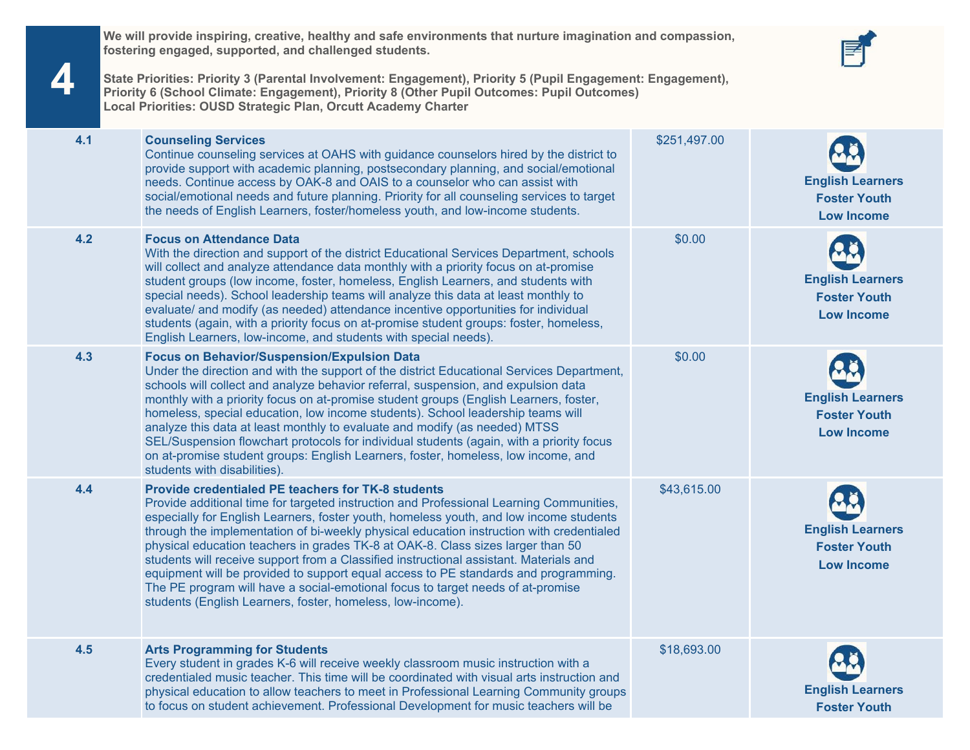**We will provide inspiring, creative, healthy and safe environments that nurture imagination and compassion, fostering engaged, supported, and challenged students.**



**State Priorities: Priority 3 (Parental Involvement: Engagement), Priority 5 (Pupil Engagement: Engagement), Priority 6 (School Climate: Engagement), Priority 8 (Other Pupil Outcomes: Pupil Outcomes) Local Priorities: OUSD Strategic Plan, Orcutt Academy Charter**

**4**

| 4.1 | <b>Counseling Services</b><br>Continue counseling services at OAHS with guidance counselors hired by the district to<br>provide support with academic planning, postsecondary planning, and social/emotional<br>needs. Continue access by OAK-8 and OAIS to a counselor who can assist with<br>social/emotional needs and future planning. Priority for all counseling services to target<br>the needs of English Learners, foster/homeless youth, and low-income students.                                                                                                                                                                                                                                                                                     | \$251,497.00 | <b>English Learners</b><br><b>Foster Youth</b><br><b>Low Income</b> |
|-----|-----------------------------------------------------------------------------------------------------------------------------------------------------------------------------------------------------------------------------------------------------------------------------------------------------------------------------------------------------------------------------------------------------------------------------------------------------------------------------------------------------------------------------------------------------------------------------------------------------------------------------------------------------------------------------------------------------------------------------------------------------------------|--------------|---------------------------------------------------------------------|
| 4.2 | <b>Focus on Attendance Data</b><br>With the direction and support of the district Educational Services Department, schools<br>will collect and analyze attendance data monthly with a priority focus on at-promise<br>student groups (low income, foster, homeless, English Learners, and students with<br>special needs). School leadership teams will analyze this data at least monthly to<br>evaluate/ and modify (as needed) attendance incentive opportunities for individual<br>students (again, with a priority focus on at-promise student groups: foster, homeless,<br>English Learners, low-income, and students with special needs).                                                                                                                | \$0.00       | <b>English Learners</b><br><b>Foster Youth</b><br><b>Low Income</b> |
| 4.3 | <b>Focus on Behavior/Suspension/Expulsion Data</b><br>Under the direction and with the support of the district Educational Services Department,<br>schools will collect and analyze behavior referral, suspension, and expulsion data<br>monthly with a priority focus on at-promise student groups (English Learners, foster,<br>homeless, special education, low income students). School leadership teams will<br>analyze this data at least monthly to evaluate and modify (as needed) MTSS<br>SEL/Suspension flowchart protocols for individual students (again, with a priority focus<br>on at-promise student groups: English Learners, foster, homeless, low income, and<br>students with disabilities).                                                | \$0.00       | <b>English Learners</b><br><b>Foster Youth</b><br><b>Low Income</b> |
| 4.4 | <b>Provide credentialed PE teachers for TK-8 students</b><br>Provide additional time for targeted instruction and Professional Learning Communities,<br>especially for English Learners, foster youth, homeless youth, and low income students<br>through the implementation of bi-weekly physical education instruction with credentialed<br>physical education teachers in grades TK-8 at OAK-8. Class sizes larger than 50<br>students will receive support from a Classified instructional assistant. Materials and<br>equipment will be provided to support equal access to PE standards and programming.<br>The PE program will have a social-emotional focus to target needs of at-promise<br>students (English Learners, foster, homeless, low-income). | \$43,615.00  | <b>English Learners</b><br><b>Foster Youth</b><br><b>Low Income</b> |
| 4.5 | <b>Arts Programming for Students</b><br>Every student in grades K-6 will receive weekly classroom music instruction with a<br>credentialed music teacher. This time will be coordinated with visual arts instruction and<br>physical education to allow teachers to meet in Professional Learning Community groups<br>to focus on student achievement. Professional Development for music teachers will be                                                                                                                                                                                                                                                                                                                                                      | \$18,693.00  | <b>English Learners</b><br><b>Foster Youth</b>                      |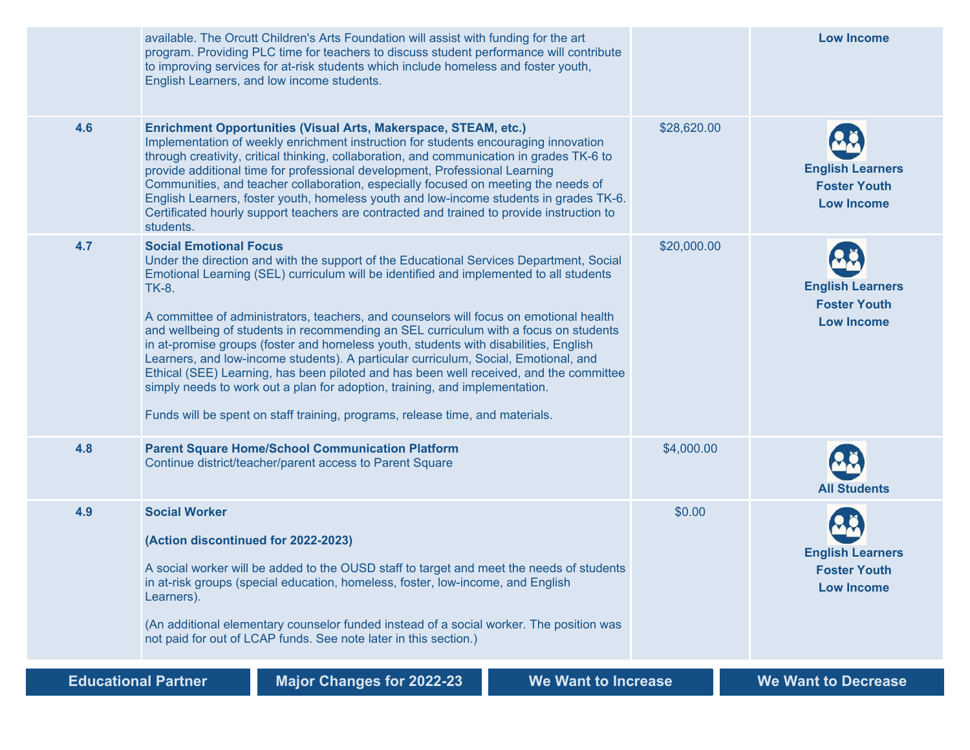|                            | available. The Orcutt Children's Arts Foundation will assist with funding for the art<br>program. Providing PLC time for teachers to discuss student performance will contribute<br>to improving services for at-risk students which include homeless and foster youth,<br>English Learners, and low income students.                                                                                                                                                                                                                                                                                                                                                                                                                                                                                                                                         |             | <b>Low Income</b>                                                   |
|----------------------------|---------------------------------------------------------------------------------------------------------------------------------------------------------------------------------------------------------------------------------------------------------------------------------------------------------------------------------------------------------------------------------------------------------------------------------------------------------------------------------------------------------------------------------------------------------------------------------------------------------------------------------------------------------------------------------------------------------------------------------------------------------------------------------------------------------------------------------------------------------------|-------------|---------------------------------------------------------------------|
| 4.6                        | Enrichment Opportunities (Visual Arts, Makerspace, STEAM, etc.)<br>Implementation of weekly enrichment instruction for students encouraging innovation<br>through creativity, critical thinking, collaboration, and communication in grades TK-6 to<br>provide additional time for professional development, Professional Learning<br>Communities, and teacher collaboration, especially focused on meeting the needs of<br>English Learners, foster youth, homeless youth and low-income students in grades TK-6.<br>Certificated hourly support teachers are contracted and trained to provide instruction to<br>students.                                                                                                                                                                                                                                  | \$28,620.00 | <b>English Learners</b><br><b>Foster Youth</b><br><b>Low Income</b> |
| 4.7                        | <b>Social Emotional Focus</b><br>Under the direction and with the support of the Educational Services Department, Social<br>Emotional Learning (SEL) curriculum will be identified and implemented to all students<br><b>TK-8.</b><br>A committee of administrators, teachers, and counselors will focus on emotional health<br>and wellbeing of students in recommending an SEL curriculum with a focus on students<br>in at-promise groups (foster and homeless youth, students with disabilities, English<br>Learners, and low-income students). A particular curriculum, Social, Emotional, and<br>Ethical (SEE) Learning, has been piloted and has been well received, and the committee<br>simply needs to work out a plan for adoption, training, and implementation.<br>Funds will be spent on staff training, programs, release time, and materials. | \$20,000.00 | <b>English Learners</b><br><b>Foster Youth</b><br><b>Low Income</b> |
| 4.8                        | <b>Parent Square Home/School Communication Platform</b><br>Continue district/teacher/parent access to Parent Square                                                                                                                                                                                                                                                                                                                                                                                                                                                                                                                                                                                                                                                                                                                                           | \$4,000.00  | <b>All Students</b>                                                 |
| 4.9                        | <b>Social Worker</b><br>(Action discontinued for 2022-2023)<br>A social worker will be added to the OUSD staff to target and meet the needs of students<br>in at-risk groups (special education, homeless, foster, low-income, and English<br>Learners).<br>(An additional elementary counselor funded instead of a social worker. The position was<br>not paid for out of LCAP funds. See note later in this section.)                                                                                                                                                                                                                                                                                                                                                                                                                                       | \$0.00      | <b>English Learners</b><br><b>Foster Youth</b><br><b>Low Income</b> |
| <b>Educational Partner</b> | <b>Major Changes for 2022-23</b><br>We Want to Increase                                                                                                                                                                                                                                                                                                                                                                                                                                                                                                                                                                                                                                                                                                                                                                                                       |             | <b>We Want to Decrease</b>                                          |